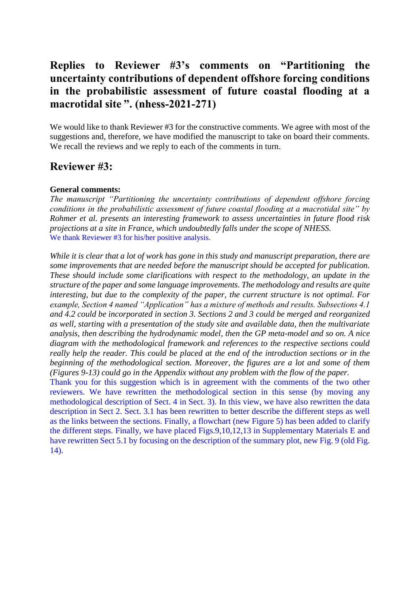# **Replies to Reviewer #3's comments on "Partitioning the uncertainty contributions of dependent offshore forcing conditions in the probabilistic assessment of future coastal flooding at a macrotidal site ". (nhess-2021-271)**

We would like to thank Reviewer #3 for the constructive comments. We agree with most of the suggestions and, therefore, we have modified the manuscript to take on board their comments. We recall the reviews and we reply to each of the comments in turn.

## **Reviewer #3:**

## **General comments:**

*The manuscript "Partitioning the uncertainty contributions of dependent offshore forcing conditions in the probabilistic assessment of future coastal flooding at a macrotidal site" by Rohmer et al. presents an interesting framework to assess uncertainties in future flood risk projections at a site in France, which undoubtedly falls under the scope of NHESS.* We thank Reviewer #3 for his/her positive analysis.

*While it is clear that a lot of work has gone in this study and manuscript preparation, there are some improvements that are needed before the manuscript should be accepted for publication. These should include some clarifications with respect to the methodology, an update in the structure of the paper and some language improvements. The methodology and results are quite interesting, but due to the complexity of the paper, the current structure is not optimal. For example, Section 4 named "Application" has a mixture of methods and results. Subsections 4.1 and 4.2 could be incorporated in section 3. Sections 2 and 3 could be merged and reorganized as well, starting with a presentation of the study site and available data, then the multivariate analysis, then describing the hydrodynamic model, then the GP meta-model and so on. A nice diagram with the methodological framework and references to the respective sections could really help the reader. This could be placed at the end of the introduction sections or in the beginning of the methodological section. Moreover, the figures are a lot and some of them (Figures 9-13) could go in the Appendix without any problem with the flow of the paper.*

Thank you for this suggestion which is in agreement with the comments of the two other reviewers. We have rewritten the methodological section in this sense (by moving any methodological description of Sect. 4 in Sect. 3). In this view, we have also rewritten the data description in Sect 2. Sect. 3.1 has been rewritten to better describe the different steps as well as the links between the sections. Finally, a flowchart (new Figure 5) has been added to clarify the different steps. Finally, we have placed Figs.9,10,12,13 in Supplementary Materials E and have rewritten Sect 5.1 by focusing on the description of the summary plot, new Fig. 9 (old Fig. 14).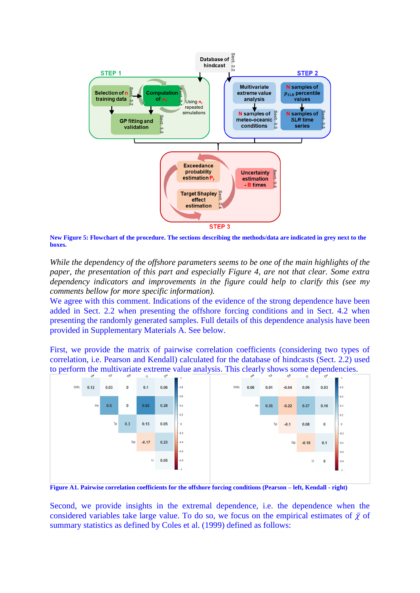

**New Figure 5: Flowchart of the procedure. The sections describing the methods/data are indicated in grey next to the boxes.** 

*While the dependency of the offshore parameters seems to be one of the main highlights of the paper, the presentation of this part and especially Figure 4, are not that clear. Some extra dependency indicators and improvements in the figure could help to clarify this (see my comments bellow for more specific information).* 

We agree with this comment. Indications of the evidence of the strong dependence have been added in Sect. 2.2 when presenting the offshore forcing conditions and in Sect. 4.2 when presenting the randomly generated samples. Full details of this dependence analysis have been provided in Supplementary Materials A. See below.

First, we provide the matrix of pairwise correlation coefficients (considering two types of correlation, i.e. Pearson and Kendall) calculated for the database of hindcasts (Sect. 2.2) used to perform the multivariate extreme value analysis. This clearly shows some dependencies.



**Figure A1. Pairwise correlation coefficients for the offshore forcing conditions (Pearson – left, Kendall - right)**

Second, we provide insights in the extremal dependence, i.e. the dependence when the considered variables take large value. To do so, we focus on the empirical estimates of  $\bar{\chi}$  of summary statistics as defined by Coles et al. (1999) defined as follows: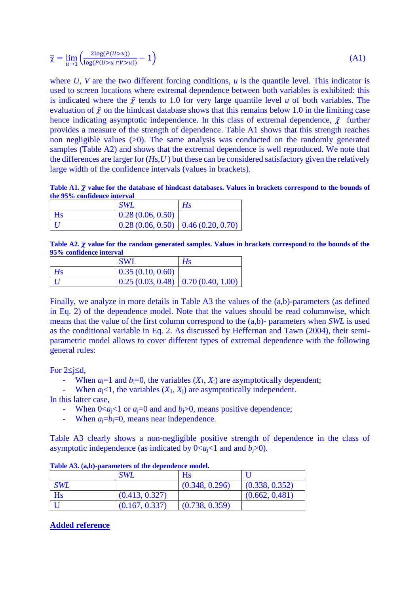$$
\overline{\chi} = \lim_{u \to 1} \left( \frac{2\log(P(U > u))}{\log(P(U > u \cap V > u))} - 1 \right) \tag{A1}
$$

where  $U$ ,  $V$  are the two different forcing conditions,  $u$  is the quantile level. This indicator is used to screen locations where extremal dependence between both variables is exhibited: this is indicated where the  $\bar{y}$  tends to 1.0 for very large quantile level *u* of both variables. The evaluation of  $\bar{y}$  on the hindcast database shows that this remains below 1.0 in the limiting case hence indicating asymptotic independence. In this class of extremal dependence,  $\bar{Y}$  further provides a measure of the strength of dependence. Table A1 shows that this strength reaches non negligible values  $(0)$ . The same analysis was conducted on the randomly generated samples (Table A2) and shows that the extremal dependence is well reproduced. We note that the differences are larger for (*H*s,*U* ) but these can be considered satisfactory given the relatively large width of the confidence intervals (values in brackets).

**Table A1.**  $\bar{\chi}$  value for the database of hindcast databases. Values in brackets correspond to the bounds of **the 95% confidence interval**

|    | SWL                                    | Hs |
|----|----------------------------------------|----|
| Hs | 0.28(0.06, 0.50)                       |    |
|    | $0.28(0.06, 0.50)$ 0.46 $(0.20, 0.70)$ |    |

**Table A2.**  $\bar{\chi}$  value for the random generated samples. Values in brackets correspond to the bounds of the **95% confidence interval**

|                | <b>SWL</b>                             | $H_{\rm S}$ |
|----------------|----------------------------------------|-------------|
| H <sub>S</sub> | 0.35(0.10, 0.60)                       |             |
|                | $0.25(0.03, 0.48)$ 0.70 $(0.40, 1.00)$ |             |

Finally, we analyze in more details in Table A3 the values of the (a,b)-parameters (as defined in Eq. 2) of the dependence model. Note that the values should be read columnwise, which means that the value of the first column correspond to the (a,b)- parameters when *SWL* is used as the conditional variable in Eq. 2. As discussed by Heffernan and Tawn (2004), their semiparametric model allows to cover different types of extremal dependence with the following general rules:

For  $2 \leq i \leq d$ ,

- When  $a_i = 1$  and  $b_i = 0$ , the variables  $(X_1, X_i)$  are asymptotically dependent;
- When  $a_i < 1$ , the variables  $(X_1, X_i)$  are asymptotically independent.

In this latter case,

- When  $0 \lt a_i \lt 1$  or  $a_i = 0$  and and  $b_i > 0$ , means positive dependence;
- When  $a_i=b_i=0$ , means near independence.

Table A3 clearly shows a non-negligible positive strength of dependence in the class of asymptotic independence (as indicated by  $0 \le a_i \le 1$  and and  $b_i \ge 0$ ).

|            | <b>SWL</b>     | Hs             |                |
|------------|----------------|----------------|----------------|
| <b>SWL</b> |                | (0.348, 0.296) | (0.338, 0.352) |
| Hs         | (0.413, 0.327) |                | (0.662, 0.481) |
|            | (0.167, 0.337) | (0.738, 0.359) |                |

**Table A3. (a,b)-parameters of the dependence model.** 

#### **Added reference**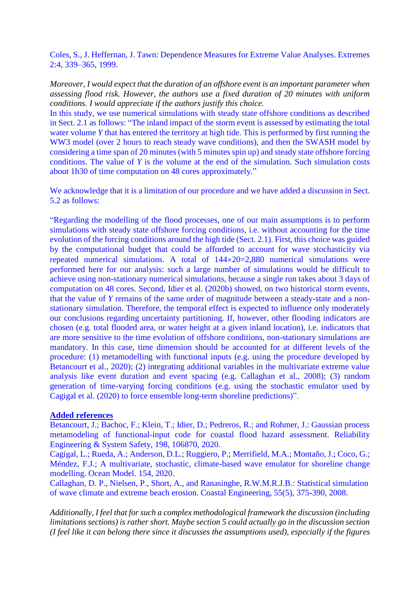Coles, S., J. Heffernan, J. Tawn: Dependence Measures for Extreme Value Analyses. Extremes 2:4, 339–365, 1999.

*Moreover, I would expect that the duration of an offshore event is an important parameter when assessing flood risk. However, the authors use a fixed duration of 20 minutes with uniform conditions. I would appreciate if the authors justify this choice.*

In this study, we use numerical simulations with steady state offshore conditions as described in Sect. 2.1 as follows: "The inland impact of the storm event is assessed by estimating the total water volume *Y* that has entered the territory at high tide. This is performed by first running the WW3 model (over 2 hours to reach steady wave conditions), and then the SWASH model by considering a time span of 20 minutes (with 5 minutes spin up) and steady state offshore forcing conditions. The value of *Y* is the volume at the end of the simulation. Such simulation costs about 1h30 of time computation on 48 cores approximately."

We acknowledge that it is a limitation of our procedure and we have added a discussion in Sect. 5.2 as follows:

"Regarding the modelling of the flood processes, one of our main assumptions is to perform simulations with steady state offshore forcing conditions, i.e. without accounting for the time evolution of the forcing conditions around the high tide (Sect. 2.1). First, this choice was guided by the computational budget that could be afforded to account for wave stochasticity via repeated numerical simulations. A total of  $144 \times 20 = 2,880$  numerical simulations were performed here for our analysis: such a large number of simulations would be difficult to achieve using non-stationary numerical simulations, because a single run takes about 3 days of computation on 48 cores. Second, Idier et al. (2020b) showed, on two historical storm events, that the value of *Y* remains of the same order of magnitude between a steady-state and a nonstationary simulation. Therefore, the temporal effect is expected to influence only moderately our conclusions regarding uncertainty partitioning. If, however, other flooding indicators are chosen (e.g. total flooded area, or water height at a given inland location), i.e. indicators that are more sensitive to the time evolution of offshore conditions, non-stationary simulations are mandatory. In this case, time dimension should be accounted for at different levels of the procedure: (1) metamodelling with functional inputs (e.g. using the procedure developed by Betancourt et al., 2020); (2) integrating additional variables in the multivariate extreme value analysis like event duration and event spacing (e.g. Callaghan et al., 2008); (3) random generation of time-varying forcing conditions (e.g. using the stochastic emulator used by Cagigal et al. (2020) to force ensemble long-term shoreline predictions)".

## **Added references**

Betancourt, J.; Bachoc, F.; Klein, T.; Idier, D.; Pedreros, R.; and Rohmer, J.: Gaussian process metamodeling of functional-input code for coastal flood hazard assessment. Reliability Engineering & System Safety, 198, 106870, 2020.

Cagigal, L.; Rueda, A.; Anderson, D.L.; Ruggiero, P.; Merrifield, M.A.; Montaño, J.; Coco, G.; Méndez, F.J.; A multivariate, stochastic, climate-based wave emulator for shoreline change modelling. Ocean Model. 154, 2020.

Callaghan, D. P., Nielsen, P., Short, A., and Ranasinghe, R.W.M.R.J.B.: Statistical simulation of wave climate and extreme beach erosion. Coastal Engineering, 55(5), 375-390, 2008.

*Additionally, I feel that for such a complex methodological framework the discussion (including limitations sections) is rather short. Maybe section 5 could actually go in the discussion section (I feel like it can belong there since it discusses the assumptions used), especially if the figures*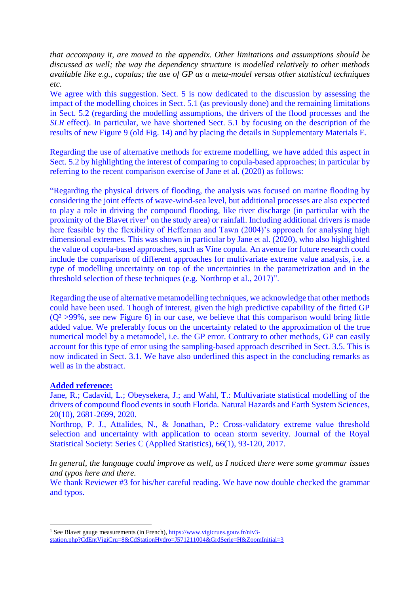*that accompany it, are moved to the appendix. Other limitations and assumptions should be discussed as well; the way the dependency structure is modelled relatively to other methods available like e.g., copulas; the use of GP as a meta-model versus other statistical techniques etc.* 

We agree with this suggestion. Sect. 5 is now dedicated to the discussion by assessing the impact of the modelling choices in Sect. 5.1 (as previously done) and the remaining limitations in Sect. 5.2 (regarding the modelling assumptions, the drivers of the flood processes and the *SLR* effect). In particular, we have shortened Sect. 5.1 by focusing on the description of the results of new Figure 9 (old Fig. 14) and by placing the details in Supplementary Materials E.

Regarding the use of alternative methods for extreme modelling, we have added this aspect in Sect. 5.2 by highlighting the interest of comparing to copula-based approaches; in particular by referring to the recent comparison exercise of Jane et al. (2020) as follows:

"Regarding the physical drivers of flooding, the analysis was focused on marine flooding by considering the joint effects of wave-wind-sea level, but additional processes are also expected to play a role in driving the compound flooding, like river discharge (in particular with the proximity of the Blavet river<sup>1</sup> on the study area) or rainfall. Including additional drivers is made here feasible by the flexibility of Heffernan and Tawn (2004)'s approach for analysing high dimensional extremes. This was shown in particular by Jane et al. (2020), who also highlighted the value of copula-based approaches, such as Vine copula. An avenue for future research could include the comparison of different approaches for multivariate extreme value analysis, i.e. a type of modelling uncertainty on top of the uncertainties in the parametrization and in the threshold selection of these techniques (e.g. Northrop et al., 2017)".

Regarding the use of alternative metamodelling techniques, we acknowledge that other methods could have been used. Though of interest, given the high predictive capability of the fitted GP  $(Q<sup>2</sup> >99\%$ , see new Figure 6) in our case, we believe that this comparison would bring little added value. We preferably focus on the uncertainty related to the approximation of the true numerical model by a metamodel, i.e. the GP error. Contrary to other methods, GP can easily account for this type of error using the sampling-based approach described in Sect. 3.5. This is now indicated in Sect. 3.1. We have also underlined this aspect in the concluding remarks as well as in the abstract.

## **Added reference:**

<u>.</u>

Jane, R.; Cadavid, L.; Obeysekera, J.; and Wahl, T.: Multivariate statistical modelling of the drivers of compound flood events in south Florida. Natural Hazards and Earth System Sciences, 20(10), 2681-2699, 2020.

Northrop, P. J., Attalides, N., & Jonathan, P.: Cross-validatory extreme value threshold selection and uncertainty with application to ocean storm severity. Journal of the Royal Statistical Society: Series C (Applied Statistics), 66(1), 93-120, 2017.

*In general, the language could improve as well, as I noticed there were some grammar issues and typos here and there.*

We thank Reviewer #3 for his/her careful reading. We have now double checked the grammar and typos.

<sup>&</sup>lt;sup>1</sup> See Blavet gauge measurements (in French), [https://www.vigicrues.gouv.fr/niv3-](https://www.vigicrues.gouv.fr/niv3-station.php?CdEntVigiCru=8&CdStationHydro=J571211004&GrdSerie=H&ZoomInitial=3)

[station.php?CdEntVigiCru=8&CdStationHydro=J571211004&GrdSerie=H&ZoomInitial=3](https://www.vigicrues.gouv.fr/niv3-station.php?CdEntVigiCru=8&CdStationHydro=J571211004&GrdSerie=H&ZoomInitial=3)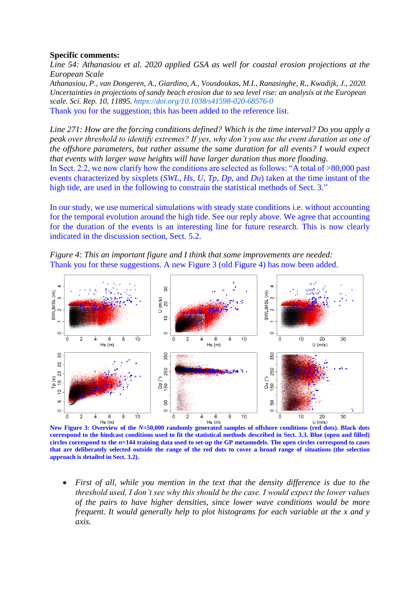#### **Specific comments:**

*Line 54: Athanasiou et al. 2020 applied GSA as well for coastal erosion projections at the European Scale*

*Athanasiou, P., van Dongeren, A., Giardino, A., Vousdoukas, M.I., Ranasinghe, R., Kwadijk, J., 2020. Uncertainties in projections of sandy beach erosion due to sea level rise: an analysis at the European scale. Sci. Rep. 10, 11895. https://doi.org/10.1038/s41598-020-68576-0* Thank you for the suggestion; this has been added to the reference list.

*Line 271: How are the forcing conditions defined? Which is the time interval? Do you apply a peak over threshold to identify extremes? If yes, why don't you use the event duration as one of the offshore parameters, but rather assume the same duration for all events? I would expect that events with larger wave heights will have larger duration thus more flooding.*

In Sect. 2.2, we now clarify how the conditions are selected as follows: "A total of >80,000 past events characterized by sixplets (*SWL*, *Hs*, *U*, *Tp*, *Dp*, and *Du*) taken at the time instant of the high tide, are used in the following to constrain the statistical methods of Sect. 3."

In our study, we use numerical simulations with steady state conditions i.e. without accounting for the temporal evolution around the high tide. See our reply above. We agree that accounting for the duration of the events is an interesting line for future research. This is now clearly indicated in the discussion section, Sect. 5.2.





**New Figure 3: Overview of the** *N***=50,000 randomly generated samples of offshore conditions (red dots). Black dots correspond to the hindcast conditions used to fit the statistical methods described in Sect. 3.3. Blue (open and filled) circles correspond to the** *n***=144 training data used to set-up the GP metamodels. The open circles correspond to cases that are deliberately selected outside the range of the red dots to cover a broad range of situations (the selection approach is detailed in Sect. 3.2).** 

 *First of all, while you mention in the text that the density difference is due to the threshold used, I don't see why this should be the case. I would expect the lower values of the pairs to have higher densities, since lower wave conditions would be more frequent. It would generally help to plot histograms for each variable at the x and y axis.*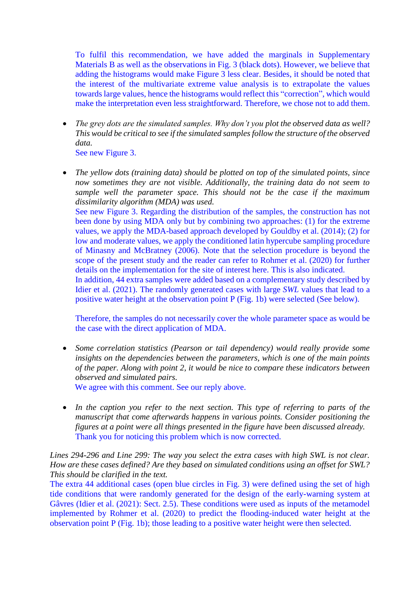To fulfil this recommendation, we have added the marginals in Supplementary Materials B as well as the observations in Fig. 3 (black dots). However, we believe that adding the histograms would make Figure 3 less clear. Besides, it should be noted that the interest of the multivariate extreme value analysis is to extrapolate the values towards large values, hence the histograms would reflect this "correction", which would make the interpretation even less straightforward. Therefore, we chose not to add them.

- *The grey dots are the simulated samples. Why don't you plot the observed data as well? This would be critical to see if the simulated samples follow the structure of the observed data.*
	- See new Figure 3.
- *The yellow dots (training data) should be plotted on top of the simulated points, since now sometimes they are not visible. Additionally, the training data do not seem to sample well the parameter space. This should not be the case if the maximum dissimilarity algorithm (MDA) was used.*

See new Figure 3. Regarding the distribution of the samples, the construction has not been done by using MDA only but by combining two approaches: (1) for the extreme values, we apply the MDA-based approach developed by Gouldby et al. (2014); (2) for low and moderate values, we apply the conditioned latin hypercube sampling procedure of Minasny and McBratney (2006). Note that the selection procedure is beyond the scope of the present study and the reader can refer to Rohmer et al. (2020) for further details on the implementation for the site of interest here. This is also indicated.

In addition, 44 extra samples were added based on a complementary study described by Idier et al. (2021). The randomly generated cases with large *SWL* values that lead to a positive water height at the observation point P (Fig. 1b) were selected (See below).

Therefore, the samples do not necessarily cover the whole parameter space as would be the case with the direct application of MDA.

 *Some correlation statistics (Pearson or tail dependency) would really provide some insights on the dependencies between the parameters, which is one of the main points of the paper. Along with point 2, it would be nice to compare these indicators between observed and simulated pairs.*

We agree with this comment. See our reply above.

 *In the caption you refer to the next section. This type of referring to parts of the manuscript that come afterwards happens in various points. Consider positioning the figures at a point were all things presented in the figure have been discussed already.* Thank you for noticing this problem which is now corrected.

*Lines 294-296 and Line 299: The way you select the extra cases with high SWL is not clear. How are these cases defined? Are they based on simulated conditions using an offset for SWL? This should be clarified in the text.*

The extra 44 additional cases (open blue circles in Fig. 3) were defined using the set of high tide conditions that were randomly generated for the design of the early-warning system at Gâvres (Idier et al. (2021): Sect. 2.5). These conditions were used as inputs of the metamodel implemented by Rohmer et al. (2020) to predict the flooding-induced water height at the observation point P (Fig. 1b); those leading to a positive water height were then selected.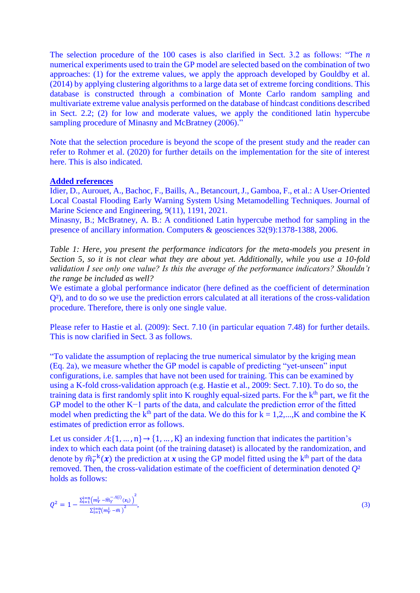The selection procedure of the 100 cases is also clarified in Sect. 3.2 as follows: "The *n* numerical experiments used to train the GP model are selected based on the combination of two approaches: (1) for the extreme values, we apply the approach developed by Gouldby et al. (2014) by applying clustering algorithms to a large data set of extreme forcing conditions. This database is constructed through a combination of Monte Carlo random sampling and multivariate extreme value analysis performed on the database of hindcast conditions described in Sect. 2.2; (2) for low and moderate values, we apply the conditioned latin hypercube sampling procedure of Minasny and McBratney (2006)."

Note that the selection procedure is beyond the scope of the present study and the reader can refer to Rohmer et al. (2020) for further details on the implementation for the site of interest here. This is also indicated.

#### **Added references**

Idier, D., Aurouet, A., Bachoc, F., Baills, A., Betancourt, J., Gamboa, F., et al.: A User-Oriented Local Coastal Flooding Early Warning System Using Metamodelling Techniques. Journal of Marine Science and Engineering, 9(11), 1191, 2021.

Minasny, B.; McBratney, A. B.: A conditioned Latin hypercube method for sampling in the presence of ancillary information. Computers & geosciences 32(9):1378-1388, 2006.

*Table 1: Here, you present the performance indicators for the meta-models you present in Section 5, so it is not clear what they are about yet. Additionally, while you use a 10-fold validation I see only one value? Is this the average of the performance indicators? Shouldn't the range be included as well?*

We estimate a global performance indicator (here defined as the coefficient of determination Q²), and to do so we use the prediction errors calculated at all iterations of the cross-validation procedure. Therefore, there is only one single value.

Please refer to Hastie et al. (2009): Sect. 7.10 (in particular equation 7.48) for further details. This is now clarified in Sect. 3 as follows.

"To validate the assumption of replacing the true numerical simulator by the kriging mean (Eq. 2a), we measure whether the GP model is capable of predicting "yet-unseen" input configurations, i.e. samples that have not been used for training. This can be examined by using a K-fold cross-validation approach (e.g. Hastie et al., 2009: Sect. 7.10). To do so, the training data is first randomly split into K roughly equal-sized parts. For the k<sup>th</sup> part, we fit the GP model to the other K−1 parts of the data, and calculate the prediction error of the fitted model when predicting the  $k^{th}$  part of the data. We do this for  $k = 1, 2, \dots, K$  and combine the K estimates of prediction error as follows.

Let us consider  $A: \{1, ..., n\} \rightarrow \{1, ..., K\}$  an indexing function that indicates the partition's index to which each data point (of the training dataset) is allocated by the randomization, and denote by  $\hat{m}_Y^{-k}(x)$  the prediction at x using the GP model fitted using the k<sup>th</sup> part of the data removed. Then, the cross-validation estimate of the coefficient of determination denoted *Q*² holds as follows:

$$
Q^2 = 1 - \frac{\sum_{i=1}^{j=n} (m_Y^i - \widehat{m}_Y^{-A(i)}(x_i))}{\sum_{i=1}^{j=n} (m_Y^i - \widehat{m})^2},\tag{3}
$$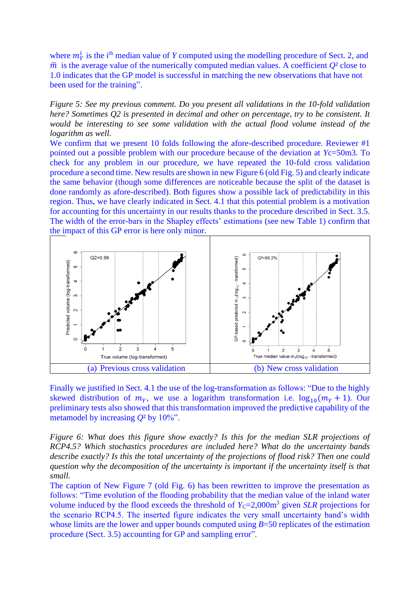where  $m_Y^i$  is the i<sup>th</sup> median value of *Y* computed using the modelling procedure of Sect. 2, and  $\bar{m}$  is the average value of the numerically computed median values. A coefficient  $Q^2$  close to 1.0 indicates that the GP model is successful in matching the new observations that have not been used for the training".

*Figure 5: See my previous comment. Do you present all validations in the 10-fold validation here? Sometimes Q2 is presented in decimal and other on percentage, try to be consistent. It would be interesting to see some validation with the actual flood volume instead of the logarithm as well.*

We confirm that we present 10 folds following the afore-described procedure. Reviewer #1 pointed out a possible problem with our procedure because of the deviation at *Y*c=50m3. To check for any problem in our procedure, we have repeated the 10-fold cross validation procedure a second time. New results are shown in new Figure 6 (old Fig. 5) and clearly indicate the same behavior (though some differences are noticeable because the split of the dataset is done randomly as afore-described). Both figures show a possible lack of predictability in this region. Thus, we have clearly indicated in Sect. 4.1 that this potential problem is a motivation for accounting for this uncertainty in our results thanks to the procedure described in Sect. 3.5. The width of the error-bars in the Shapley effects' estimations (see new Table 1) confirm that the impact of this GP error is here only minor.



Finally we justified in Sect. 4.1 the use of the log-transformation as follows: "Due to the highly skewed distribution of  $m_y$ , we use a logarithm transformation i.e.  $\log_{10}(m_y + 1)$ . Our preliminary tests also showed that this transformation improved the predictive capability of the metamodel by increasing *Q*² by 10%".

*Figure 6: What does this figure show exactly? Is this for the median SLR projections of RCP4.5? Which stochastics procedures are included here? What do the uncertainty bands describe exactly? Is this the total uncertainty of the projections of flood risk? Then one could question why the decomposition of the uncertainty is important if the uncertainty itself is that small.*

The caption of New Figure 7 (old Fig. 6) has been rewritten to improve the presentation as follows: "Time evolution of the flooding probability that the median value of the inland water volume induced by the flood exceeds the threshold of  $Y<sub>C</sub>=2,000m<sup>3</sup>$  given *SLR* projections for the scenario RCP4.5. The inserted figure indicates the very small uncertainty band's width whose limits are the lower and upper bounds computed using *B*=50 replicates of the estimation procedure (Sect. 3.5) accounting for GP and sampling error".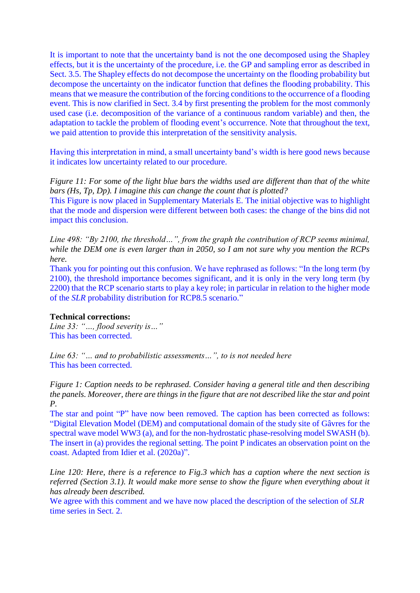It is important to note that the uncertainty band is not the one decomposed using the Shapley effects, but it is the uncertainty of the procedure, i.e. the GP and sampling error as described in Sect. 3.5. The Shapley effects do not decompose the uncertainty on the flooding probability but decompose the uncertainty on the indicator function that defines the flooding probability. This means that we measure the contribution of the forcing conditions to the occurrence of a flooding event. This is now clarified in Sect. 3.4 by first presenting the problem for the most commonly used case (i.e. decomposition of the variance of a continuous random variable) and then, the adaptation to tackle the problem of flooding event's occurrence. Note that throughout the text, we paid attention to provide this interpretation of the sensitivity analysis.

Having this interpretation in mind, a small uncertainty band's width is here good news because it indicates low uncertainty related to our procedure.

*Figure 11: For some of the light blue bars the widths used are different than that of the white bars (Hs, Tp, Dp). I imagine this can change the count that is plotted?*

This Figure is now placed in Supplementary Materials E. The initial objective was to highlight that the mode and dispersion were different between both cases: the change of the bins did not impact this conclusion.

*Line 498: "By 2100, the threshold…", from the graph the contribution of RCP seems minimal, while the DEM one is even larger than in 2050, so I am not sure why you mention the RCPs here.*

Thank you for pointing out this confusion. We have rephrased as follows: "In the long term (by 2100), the threshold importance becomes significant, and it is only in the very long term (by 2200) that the RCP scenario starts to play a key role; in particular in relation to the higher mode of the *SLR* probability distribution for RCP8.5 scenario."

#### **Technical corrections:**

*Line 33: "…, flood severity is…"* This has been corrected.

*Line 63: "… and to probabilistic assessments…", to is not needed here* This has been corrected.

*Figure 1: Caption needs to be rephrased. Consider having a general title and then describing the panels. Moreover, there are things in the figure that are not described like the star and point P.*

The star and point "P" have now been removed. The caption has been corrected as follows: "Digital Elevation Model (DEM) and computational domain of the study site of Gâvres for the spectral wave model WW3 (a), and for the non-hydrostatic phase-resolving model SWASH (b). The insert in (a) provides the regional setting. The point P indicates an observation point on the coast. Adapted from Idier et al. (2020a)".

*Line 120: Here, there is a reference to Fig.3 which has a caption where the next section is referred (Section 3.1). It would make more sense to show the figure when everything about it has already been described.*

We agree with this comment and we have now placed the description of the selection of *SLR* time series in Sect. 2.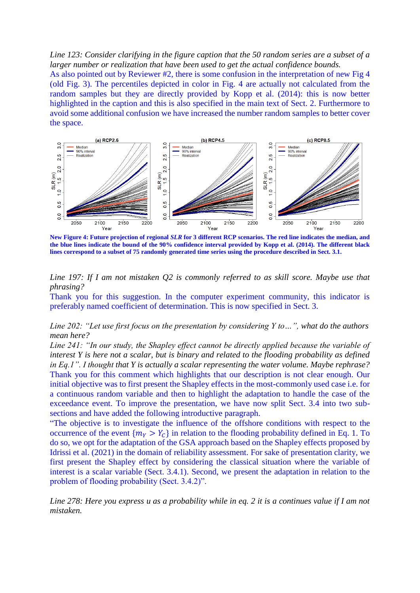#### *Line 123: Consider clarifying in the figure caption that the 50 random series are a subset of a larger number or realization that have been used to get the actual confidence bounds.*

As also pointed out by Reviewer #2, there is some confusion in the interpretation of new Fig 4 (old Fig. 3). The percentiles depicted in color in Fig. 4 are actually not calculated from the random samples but they are directly provided by Kopp et al. (2014): this is now better highlighted in the caption and this is also specified in the main text of Sect. 2. Furthermore to avoid some additional confusion we have increased the number random samples to better cover the space.



**New Figure 4: Future projection of regional** *SLR* **for 3 different RCP scenarios. The red line indicates the median, and the blue lines indicate the bound of the 90% confidence interval provided by Kopp et al. (2014). The different black lines correspond to a subset of 75 randomly generated time series using the procedure described in Sect. 3.1.**

## *Line 197: If I am not mistaken Q2 is commonly referred to as skill score. Maybe use that phrasing?*

Thank you for this suggestion. In the computer experiment community, this indicator is preferably named coefficient of determination. This is now specified in Sect. 3.

#### *Line 202: "Let use first focus on the presentation by considering Y to…", what do the authors mean here?*

*Line 241: "In our study, the Shapley effect cannot be directly applied because the variable of interest Y is here not a scalar, but is binary and related to the flooding probability as defined in Eq.1". I thought that Y is actually a scalar representing the water volume. Maybe rephrase?* Thank you for this comment which highlights that our description is not clear enough. Our initial objective was to first present the Shapley effects in the most-commonly used case i.e. for a continuous random variable and then to highlight the adaptation to handle the case of the exceedance event. To improve the presentation, we have now split Sect. 3.4 into two subsections and have added the following introductive paragraph.

"The objective is to investigate the influence of the offshore conditions with respect to the occurrence of the event  $\{m_v > Y_c\}$  in relation to the flooding probability defined in Eq. 1. To do so, we opt for the adaptation of the GSA approach based on the Shapley effects proposed by Idrissi et al. (2021) in the domain of reliability assessment. For sake of presentation clarity, we first present the Shapley effect by considering the classical situation where the variable of interest is a scalar variable (Sect. 3.4.1). Second, we present the adaptation in relation to the problem of flooding probability (Sect. 3.4.2)".

*Line 278: Here you express u as a probability while in eq. 2 it is a continues value if I am not mistaken.*